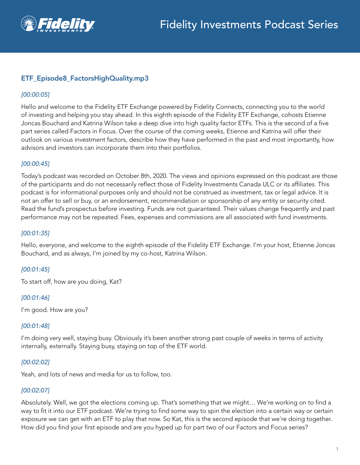

# ETF\_Episode8\_FactorsHighQuality.mp3

## *[00:00:05]*

Hello and welcome to the Fidelity ETF Exchange powered by Fidelity Connects, connecting you to the world of investing and helping you stay ahead. In this eighth episode of the Fidelity ETF Exchange, cohosts Etienne Joncas Bouchard and Katrina Wilson take a deep dive into high quality factor ETFs. This is the second of a five part series called Factors in Focus. Over the course of the coming weeks, Etienne and Katrina will offer their outlook on various investment factors, describe how they have performed in the past and most importantly, how advisors and investors can incorporate them into their portfolios.

## *[00:00:45]*

Today's podcast was recorded on October 8th, 2020. The views and opinions expressed on this podcast are those of the participants and do not necessarily reflect those of Fidelity Investments Canada ULC or its affiliates. This podcast is for informational purposes only and should not be construed as investment, tax or legal advice. It is not an offer to sell or buy, or an endorsement, recommendation or sponsorship of any entity or security cited. Read the fund's prospectus before investing. Funds are not guaranteed. Their values change frequently and past performance may not be repeated. Fees, expenses and commissions are all associated with fund investments.

### *[00:01:35]*

Hello, everyone, and welcome to the eighth episode of the Fidelity ETF Exchange. I'm your host, Etienne Joncas Bouchard, and as always, I'm joined by my co-host, Katrina Wilson.

# *[00:01:45]*

To start off, how are you doing, Kat?

### *[00:01:46]*

I'm good. How are you?

### *[00:01:48]*

I'm doing very well, staying busy. Obviously it's been another strong past couple of weeks in terms of activity internally, externally. Staying busy, staying on top of the ETF world.

### *[00:02:02]*

Yeah, and lots of news and media for us to follow, too.

# *[00:02:07]*

Absolutely. Well, we got the elections coming up. That's something that we might… We're working on to find a way to fit it into our ETF podcast. We're trying to find some way to spin the election into a certain way or certain exposure we can get with an ETF to play that now. So Kat, this is the second episode that we're doing together. How did you find your first episode and are you hyped up for part two of our Factors and Focus series?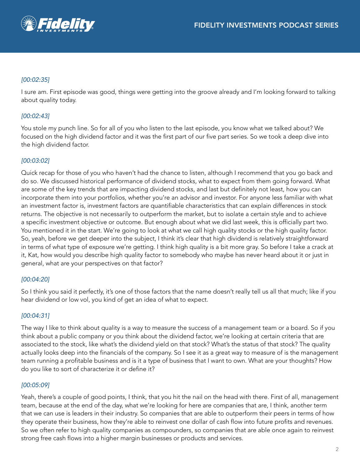

## *[00:02:35]*

I sure am. First episode was good, things were getting into the groove already and I'm looking forward to talking about quality today.

## *[00:02:43]*

You stole my punch line. So for all of you who listen to the last episode, you know what we talked about? We focused on the high dividend factor and it was the first part of our five part series. So we took a deep dive into the high dividend factor.

## *[00:03:02]*

Quick recap for those of you who haven't had the chance to listen, although I recommend that you go back and do so. We discussed historical performance of dividend stocks, what to expect from them going forward. What are some of the key trends that are impacting dividend stocks, and last but definitely not least, how you can incorporate them into your portfolios, whether you're an advisor and investor. For anyone less familiar with what an investment factor is, investment factors are quantifiable characteristics that can explain differences in stock returns. The objective is not necessarily to outperform the market, but to isolate a certain style and to achieve a specific investment objective or outcome. But enough about what we did last week, this is officially part two. You mentioned it in the start. We're going to look at what we call high quality stocks or the high quality factor. So, yeah, before we get deeper into the subject, I think it's clear that high dividend is relatively straightforward in terms of what type of exposure we're getting. I think high quality is a bit more gray. So before I take a crack at it, Kat, how would you describe high quality factor to somebody who maybe has never heard about it or just in general, what are your perspectives on that factor?

### *[00:04:20]*

So I think you said it perfectly, it's one of those factors that the name doesn't really tell us all that much; like if you hear dividend or low vol, you kind of get an idea of what to expect.

### *[00:04:31]*

The way I like to think about quality is a way to measure the success of a management team or a board. So if you think about a public company or you think about the dividend factor, we're looking at certain criteria that are associated to the stock, like what's the dividend yield on that stock? What's the status of that stock? The quality actually looks deep into the financials of the company. So I see it as a great way to measure of is the management team running a profitable business and is it a type of business that I want to own. What are your thoughts? How do you like to sort of characterize it or define it?

### *[00:05:09]*

Yeah, there's a couple of good points, I think, that you hit the nail on the head with there. First of all, management team, because at the end of the day, what we're looking for here are companies that are, I think, another term that we can use is leaders in their industry. So companies that are able to outperform their peers in terms of how they operate their business, how they're able to reinvest one dollar of cash flow into future profits and revenues. So we often refer to high quality companies as compounders, so companies that are able once again to reinvest strong free cash flows into a higher margin businesses or products and services.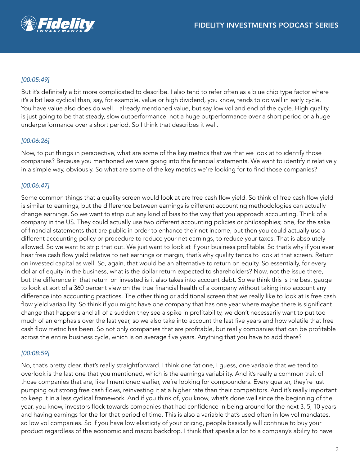

# *[00:05:49]*

But it's definitely a bit more complicated to describe. I also tend to refer often as a blue chip type factor where it's a bit less cyclical than, say, for example, value or high dividend, you know, tends to do well in early cycle. You have value also does do well. I already mentioned value, but say low vol and end of the cycle. High quality is just going to be that steady, slow outperformance, not a huge outperformance over a short period or a huge underperformance over a short period. So I think that describes it well.

## *[00:06:26]*

Now, to put things in perspective, what are some of the key metrics that we that we look at to identify those companies? Because you mentioned we were going into the financial statements. We want to identify it relatively in a simple way, obviously. So what are some of the key metrics we're looking for to find those companies?

# *[00:06:47]*

Some common things that a quality screen would look at are free cash flow yield. So think of free cash flow yield is similar to earnings, but the difference between earnings is different accounting methodologies can actually change earnings. So we want to strip out any kind of bias to the way that you approach accounting. Think of a company in the US. They could actually use two different accounting policies or philosophies; one, for the sake of financial statements that are public in order to enhance their net income, but then you could actually use a different accounting policy or procedure to reduce your net earnings, to reduce your taxes. That is absolutely allowed. So we want to strip that out. We just want to look at if your business profitable. So that's why if you ever hear free cash flow yield relative to net earnings or margin, that's why quality tends to look at that screen. Return on invested capital as well. So, again, that would be an alternative to return on equity. So essentially, for every dollar of equity in the business, what is the dollar return expected to shareholders? Now, not the issue there, but the difference in that return on invested is it also takes into account debt. So we think this is the best gauge to look at sort of a 360 percent view on the true financial health of a company without taking into account any difference into accounting practices. The other thing or additional screen that we really like to look at is free cash flow yield variability. So think if you might have one company that has one year where maybe there is significant change that happens and all of a sudden they see a spike in profitability, we don't necessarily want to put too much of an emphasis over the last year, so we also take into account the last five years and how volatile that free cash flow metric has been. So not only companies that are profitable, but really companies that can be profitable across the entire business cycle, which is on average five years. Anything that you have to add there?

### *[00:08:59]*

No, that's pretty clear, that's really straightforward. I think one fat one, I guess, one variable that we tend to overlook is the last one that you mentioned, which is the earnings variability. And it's really a common trait of those companies that are, like I mentioned earlier, we're looking for compounders. Every quarter, they're just pumping out strong free cash flows, reinvesting it at a higher rate than their competitors. And it's really important to keep it in a less cyclical framework. And if you think of, you know, what's done well since the beginning of the year, you know, investors flock towards companies that had confidence in being around for the next 3, 5, 10 years and having earnings for the for that period of time. This is also a variable that's used often in low vol mandates, so low vol companies. So if you have low elasticity of your pricing, people basically will continue to buy your product regardless of the economic and macro backdrop. I think that speaks a lot to a company's ability to have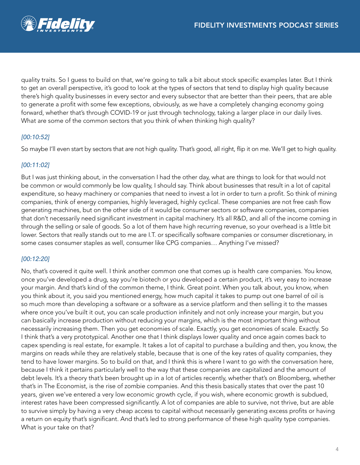quality traits. So I guess to build on that, we're going to talk a bit about stock specific examples later. But I think to get an overall perspective, it's good to look at the types of sectors that tend to display high quality because there's high quality businesses in every sector and every subsector that are better than their peers, that are able to generate a profit with some few exceptions, obviously, as we have a completely changing economy going forward, whether that's through COVID-19 or just through technology, taking a larger place in our daily lives. What are some of the common sectors that you think of when thinking high quality?

# *[00:10:52]*

So maybe I'll even start by sectors that are not high quality. That's good, all right, flip it on me. We'll get to high quality.

# *[00:11:02]*

But I was just thinking about, in the conversation I had the other day, what are things to look for that would not be common or would commonly be low quality, I should say. Think about businesses that result in a lot of capital expenditure, so heavy machinery or companies that need to invest a lot in order to turn a profit. So think of mining companies, think of energy companies, highly leveraged, highly cyclical. These companies are not free cash flow generating machines, but on the other side of it would be consumer sectors or software companies, companies that don't necessarily need significant investment in capital machinery. It's all R&D, and all of the income coming in through the selling or sale of goods. So a lot of them have high recurring revenue, so your overhead is a little bit lower. Sectors that really stands out to me are I.T. or specifically software companies or consumer discretionary, in some cases consumer staples as well, consumer like CPG companies… Anything I've missed?

# *[00:12:20]*

No, that's covered it quite well. I think another common one that comes up is health care companies. You know, once you've developed a drug, say you're biotech or you developed a certain product, it's very easy to increase your margin. And that's kind of the common theme, I think. Great point. When you talk about, you know, when you think about it, you said you mentioned energy, how much capital it takes to pump out one barrel of oil is so much more than developing a software or a software as a service platform and then selling it to the masses where once you've built it out, you can scale production infinitely and not only increase your margin, but you can basically increase production without reducing your margins, which is the most important thing without necessarily increasing them. Then you get economies of scale. Exactly, you get economies of scale. Exactly. So I think that's a very prototypical. Another one that I think displays lower quality and once again comes back to capex spending is real estate, for example. It takes a lot of capital to purchase a building and then, you know, the margins on reads while they are relatively stable, because that is one of the key rates of quality companies, they tend to have lower margins. So to build on that, and I think this is where I want to go with the conversation here, because I think it pertains particularly well to the way that these companies are capitalized and the amount of debt levels. It's a theory that's been brought up in a lot of articles recently, whether that's on Bloomberg, whether that's in The Economist, is the rise of zombie companies. And this thesis basically states that over the past 10 years, given we've entered a very low economic growth cycle, if you wish, where economic growth is subdued, interest rates have been compressed significantly. A lot of companies are able to survive, not thrive, but are able to survive simply by having a very cheap access to capital without necessarily generating excess profits or having a return on equity that's significant. And that's led to strong performance of these high quality type companies. What is your take on that?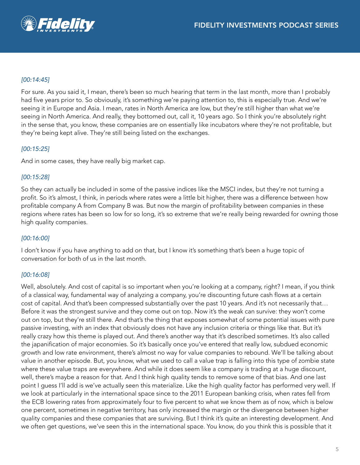# *[00:14:45]*

For sure. As you said it, I mean, there's been so much hearing that term in the last month, more than I probably had five years prior to. So obviously, it's something we're paying attention to, this is especially true. And we're seeing it in Europe and Asia. I mean, rates in North America are low, but they're still higher than what we're seeing in North America. And really, they bottomed out, call it, 10 years ago. So I think you're absolutely right in the sense that, you know, these companies are on essentially like incubators where they're not profitable, but they're being kept alive. They're still being listed on the exchanges.

## *[00:15:25]*

And in some cases, they have really big market cap.

### *[00:15:28]*

So they can actually be included in some of the passive indices like the MSCI index, but they're not turning a profit. So it's almost, I think, in periods where rates were a little bit higher, there was a difference between how profitable company A from Company B was. But now the margin of profitability between companies in these regions where rates has been so low for so long, it's so extreme that we're really being rewarded for owning those high quality companies.

### *[00:16:00]*

I don't know if you have anything to add on that, but I know it's something that's been a huge topic of conversation for both of us in the last month.

### *[00:16:08]*

Well, absolutely. And cost of capital is so important when you're looking at a company, right? I mean, if you think of a classical way, fundamental way of analyzing a company, you're discounting future cash flows at a certain cost of capital. And that's been compressed substantially over the past 10 years. And it's not necessarily that… Before it was the strongest survive and they come out on top. Now it's the weak can survive: they won't come out on top, but they're still there. And that's the thing that exposes somewhat of some potential issues with pure passive investing, with an index that obviously does not have any inclusion criteria or things like that. But it's really crazy how this theme is played out. And there's another way that it's described sometimes. It's also called the japanification of major economies. So it's basically once you've entered that really low, subdued economic growth and low rate environment, there's almost no way for value companies to rebound. We'll be talking about value in another episode. But, you know, what we used to call a value trap is falling into this type of zombie state where these value traps are everywhere. And while it does seem like a company is trading at a huge discount, well, there's maybe a reason for that. And I think high quality tends to remove some of that bias. And one last point I guess I'll add is we've actually seen this materialize. Like the high quality factor has performed very well. If we look at particularly in the international space since to the 2011 European banking crisis, when rates fell from the ECB lowering rates from approximately four to five percent to what we know them as of now, which is below one percent, sometimes in negative territory, has only increased the margin or the divergence between higher quality companies and these companies that are surviving. But I think it's quite an interesting development. And we often get questions, we've seen this in the international space. You know, do you think this is possible that it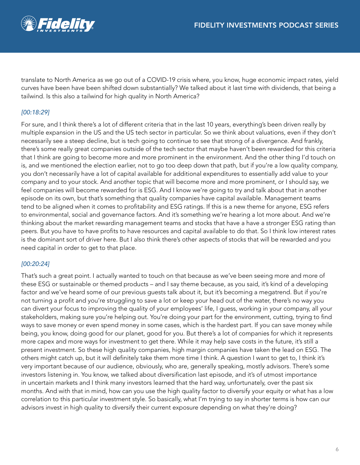

translate to North America as we go out of a COVID-19 crisis where, you know, huge economic impact rates, yield curves have been have been shifted down substantially? We talked about it last time with dividends, that being a tailwind. Is this also a tailwind for high quality in North America?

# *[00:18:29]*

For sure, and I think there's a lot of different criteria that in the last 10 years, everything's been driven really by multiple expansion in the US and the US tech sector in particular. So we think about valuations, even if they don't necessarily see a steep decline, but is tech going to continue to see that strong of a divergence. And frankly, there's some really great companies outside of the tech sector that maybe haven't been rewarded for this criteria that I think are going to become more and more prominent in the environment. And the other thing I'd touch on is, and we mentioned the election earlier, not to go too deep down that path, but if you're a low quality company, you don't necessarily have a lot of capital available for additional expenditures to essentially add value to your company and to your stock. And another topic that will become more and more prominent, or I should say, we feel companies will become rewarded for is ESG. And I know we're going to try and talk about that in another episode on its own, but that's something that quality companies have capital available. Management teams tend to be aligned when it comes to profitability and ESG ratings. If this is a new theme for anyone, ESG refers to environmental, social and governance factors. And it's something we're hearing a lot more about. And we're thinking about the market rewarding management teams and stocks that have a have a stronger ESG rating than peers. But you have to have profits to have resources and capital available to do that. So I think low interest rates is the dominant sort of driver here. But I also think there's other aspects of stocks that will be rewarded and you need capital in order to get to that place.

# *[00:20:24]*

That's such a great point. I actually wanted to touch on that because as we've been seeing more and more of these ESG or sustainable or themed products – and I say theme because, as you said, it's kind of a developing factor and we've heard some of our previous guests talk about it, but it's becoming a megatrend. But if you're not turning a profit and you're struggling to save a lot or keep your head out of the water, there's no way you can divert your focus to improving the quality of your employees' life, I guess, working in your company, all your stakeholders, making sure you're helping out. You're doing your part for the environment, cutting, trying to find ways to save money or even spend money in some cases, which is the hardest part. If you can save money while being, you know, doing good for our planet, good for you. But there's a lot of companies for which it represents more capex and more ways for investment to get there. While it may help save costs in the future, it's still a present investment. So these high quality companies, high margin companies have taken the lead on ESG. The others might catch up, but it will definitely take them more time I think. A question I want to get to, I think it's very important because of our audience, obviously, who are, generally speaking, mostly advisors. There's some investors listening in. You know, we talked about diversification last episode, and it's of utmost importance in uncertain markets and I think many investors learned that the hard way, unfortunately, over the past six months. And with that in mind, how can you use the high quality factor to diversify your equity or what has a low correlation to this particular investment style. So basically, what I'm trying to say in shorter terms is how can our advisors invest in high quality to diversify their current exposure depending on what they're doing?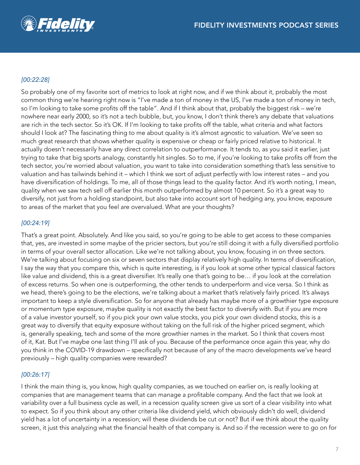

## *[00:22:28]*

So probably one of my favorite sort of metrics to look at right now, and if we think about it, probably the most common thing we're hearing right now is "I've made a ton of money in the US, I've made a ton of money in tech, so I'm looking to take some profits off the table". And if I think about that, probably the biggest risk – we're nowhere near early 2000, so it's not a tech bubble, but, you know, I don't think there's any debate that valuations are rich in the tech sector. So it's OK. If I'm looking to take profits off the table, what criteria and what factors should I look at? The fascinating thing to me about quality is it's almost agnostic to valuation. We've seen so much great research that shows whether quality is expensive or cheap or fairly priced relative to historical. It actually doesn't necessarily have any direct correlation to outperformance. It tends to, as you said it earlier, just trying to take that big sports analogy, constantly hit singles. So to me, if you're looking to take profits off from the tech sector, you're worried about valuation, you want to take into consideration something that's less sensitive to valuation and has tailwinds behind it – which I think we sort of adjust perfectly with low interest rates – and you have diversification of holdings. To me, all of those things lead to the quality factor. And it's worth noting, I mean, quality when we saw tech sell off earlier this month outperformed by almost 10 percent. So it's a great way to diversify, not just from a holding standpoint, but also take into account sort of hedging any, you know, exposure to areas of the market that you feel are overvalued. What are your thoughts?

## *[00:24:19]*

That's a great point. Absolutely. And like you said, so you're going to be able to get access to these companies that, yes, are invested in some maybe of the pricier sectors, but you're still doing it with a fully diversified portfolio in terms of your overall sector allocation. Like we're not talking about, you know, focusing in on three sectors. We're talking about focusing on six or seven sectors that display relatively high quality. In terms of diversification, I say the way that you compare this, which is quite interesting, is if you look at some other typical classical factors like value and dividend, this is a great diversifier. It's really one that's going to be… if you look at the correlation of excess returns. So when one is outperforming, the other tends to underperform and vice versa. So I think as we head, there's going to be the elections, we're talking about a market that's relatively fairly priced. It's always important to keep a style diversification. So for anyone that already has maybe more of a growthier type exposure or momentum type exposure, maybe quality is not exactly the best factor to diversify with. But if you are more of a value investor yourself, so if you pick your own value stocks, you pick your own dividend stocks, this is a great way to diversify that equity exposure without taking on the full risk of the higher priced segment, which is, generally speaking, tech and some of the more growthier names in the market. So I think that covers most of it, Kat. But I've maybe one last thing I'll ask of you. Because of the performance once again this year, why do you think in the COVID-19 drawdown – specifically not because of any of the macro developments we've heard previously – high quality companies were rewarded?

### *[00:26:17]*

I think the main thing is, you know, high quality companies, as we touched on earlier on, is really looking at companies that are management teams that can manage a profitable company. And the fact that we look at variability over a full business cycle as well, in a recession quality screen give us sort of a clear visibility into what to expect. So if you think about any other criteria like dividend yield, which obviously didn't do well, dividend yield has a lot of uncertainty in a recession; will these dividends be cut or not? But if we think about the quality screen, it just this analyzing what the financial health of that company is. And so if the recession were to go on for